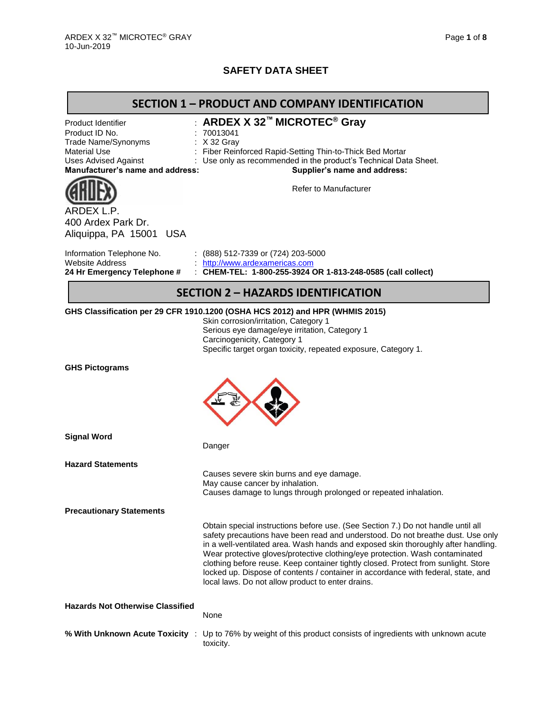# **SAFETY DATA SHEET**

|                                                                                                                                                       | <b>SECTION 1 - PRODUCT AND COMPANY IDENTIFICATION</b>                                                                                                                                                                                                                                                                                                                                                                                                                                                                                                                    |
|-------------------------------------------------------------------------------------------------------------------------------------------------------|--------------------------------------------------------------------------------------------------------------------------------------------------------------------------------------------------------------------------------------------------------------------------------------------------------------------------------------------------------------------------------------------------------------------------------------------------------------------------------------------------------------------------------------------------------------------------|
| Product Identifier<br>Product ID No.<br>Trade Name/Synonyms<br><b>Material Use</b><br><b>Uses Advised Against</b><br>Manufacturer's name and address: | : ARDEX X 32™ MICROTEC® Gray<br>: 70013041<br>: X 32 Gray<br>Fiber Reinforced Rapid-Setting Thin-to-Thick Bed Mortar<br>Use only as recommended in the product's Technical Data Sheet.<br>Supplier's name and address:                                                                                                                                                                                                                                                                                                                                                   |
| ARDEX L.P.<br>400 Ardex Park Dr.<br>Aliquippa, PA 15001 USA                                                                                           | <b>Refer to Manufacturer</b>                                                                                                                                                                                                                                                                                                                                                                                                                                                                                                                                             |
| Information Telephone No.<br><b>Website Address</b><br>24 Hr Emergency Telephone #                                                                    | : $(888)$ 512-7339 or $(724)$ 203-5000<br>http://www.ardexamericas.com<br>: CHEM-TEL: 1-800-255-3924 OR 1-813-248-0585 (call collect)                                                                                                                                                                                                                                                                                                                                                                                                                                    |
|                                                                                                                                                       | <b>SECTION 2 - HAZARDS IDENTIFICATION</b>                                                                                                                                                                                                                                                                                                                                                                                                                                                                                                                                |
|                                                                                                                                                       | GHS Classification per 29 CFR 1910.1200 (OSHA HCS 2012) and HPR (WHMIS 2015)<br>Skin corrosion/irritation, Category 1<br>Serious eye damage/eye irritation, Category 1<br>Carcinogenicity, Category 1<br>Specific target organ toxicity, repeated exposure, Category 1.                                                                                                                                                                                                                                                                                                  |
| <b>GHS Pictograms</b>                                                                                                                                 |                                                                                                                                                                                                                                                                                                                                                                                                                                                                                                                                                                          |
| <b>Signal Word</b>                                                                                                                                    | Danger                                                                                                                                                                                                                                                                                                                                                                                                                                                                                                                                                                   |
| <b>Hazard Statements</b>                                                                                                                              | Causes severe skin burns and eye damage.<br>May cause cancer by inhalation.<br>Causes damage to lungs through prolonged or repeated inhalation.                                                                                                                                                                                                                                                                                                                                                                                                                          |
| <b>Precautionary Statements</b>                                                                                                                       |                                                                                                                                                                                                                                                                                                                                                                                                                                                                                                                                                                          |
|                                                                                                                                                       | Obtain special instructions before use. (See Section 7.) Do not handle until all<br>safety precautions have been read and understood. Do not breathe dust. Use only<br>in a well-ventilated area. Wash hands and exposed skin thoroughly after handling.<br>Wear protective gloves/protective clothing/eye protection. Wash contaminated<br>clothing before reuse. Keep container tightly closed. Protect from sunlight. Store<br>locked up. Dispose of contents / container in accordance with federal, state, and<br>local laws. Do not allow product to enter drains. |
| <b>Hazards Not Otherwise Classified</b>                                                                                                               | None                                                                                                                                                                                                                                                                                                                                                                                                                                                                                                                                                                     |
| % With Unknown Acute Toxicity :                                                                                                                       | Up to 76% by weight of this product consists of ingredients with unknown acute<br>toxicity.                                                                                                                                                                                                                                                                                                                                                                                                                                                                              |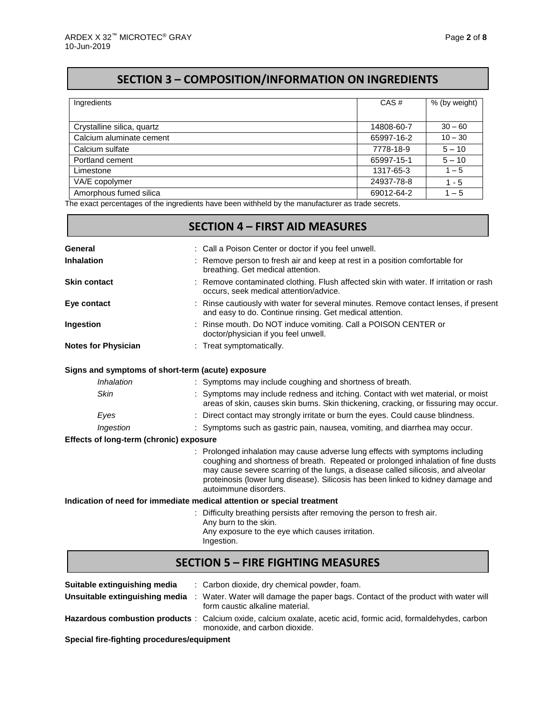# **SECTION 3 – COMPOSITION/INFORMATION ON INGREDIENTS**

| Ingredients                | CAS#       | % (by weight) |
|----------------------------|------------|---------------|
|                            |            |               |
| Crystalline silica, quartz | 14808-60-7 | $30 - 60$     |
| Calcium aluminate cement   | 65997-16-2 | $10 - 30$     |
| Calcium sulfate            | 7778-18-9  | $5 - 10$      |
| Portland cement            | 65997-15-1 | $5 - 10$      |
| Limestone                  | 1317-65-3  | $1 - 5$       |
| VA/E copolymer             | 24937-78-8 | $1 - 5$       |
| Amorphous fumed silica     | 69012-64-2 | $1 - 5$       |

The exact percentages of the ingredients have been withheld by the manufacturer as trade secrets.

|                                         | <b>SECTION 4 - FIRST AID MEASURES</b>                                                                                                                                                                                                                                                                                                                              |
|-----------------------------------------|--------------------------------------------------------------------------------------------------------------------------------------------------------------------------------------------------------------------------------------------------------------------------------------------------------------------------------------------------------------------|
| General                                 | : Call a Poison Center or doctor if you feel unwell.                                                                                                                                                                                                                                                                                                               |
| <b>Inhalation</b>                       | Remove person to fresh air and keep at rest in a position comfortable for<br>breathing. Get medical attention.                                                                                                                                                                                                                                                     |
| <b>Skin contact</b>                     | : Remove contaminated clothing. Flush affected skin with water. If irritation or rash<br>occurs, seek medical attention/advice.                                                                                                                                                                                                                                    |
| Eye contact                             | Rinse cautiously with water for several minutes. Remove contact lenses, if present<br>and easy to do. Continue rinsing. Get medical attention.                                                                                                                                                                                                                     |
| Ingestion                               | : Rinse mouth. Do NOT induce vomiting. Call a POISON CENTER or<br>doctor/physician if you feel unwell.                                                                                                                                                                                                                                                             |
| <b>Notes for Physician</b>              | : Treat symptomatically.                                                                                                                                                                                                                                                                                                                                           |
|                                         | Signs and symptoms of short-term (acute) exposure                                                                                                                                                                                                                                                                                                                  |
| Inhalation                              | : Symptoms may include coughing and shortness of breath.                                                                                                                                                                                                                                                                                                           |
| <b>Skin</b>                             | : Symptoms may include redness and itching. Contact with wet material, or moist<br>areas of skin, causes skin burns. Skin thickening, cracking, or fissuring may occur.                                                                                                                                                                                            |
| Eyes                                    | : Direct contact may strongly irritate or burn the eyes. Could cause blindness.                                                                                                                                                                                                                                                                                    |
| Ingestion                               | : Symptoms such as gastric pain, nausea, vomiting, and diarrhea may occur.                                                                                                                                                                                                                                                                                         |
| Effects of long-term (chronic) exposure |                                                                                                                                                                                                                                                                                                                                                                    |
|                                         | : Prolonged inhalation may cause adverse lung effects with symptoms including<br>coughing and shortness of breath. Repeated or prolonged inhalation of fine dusts<br>may cause severe scarring of the lungs, a disease called silicosis, and alveolar<br>proteinosis (lower lung disease). Silicosis has been linked to kidney damage and<br>autoimmune disorders. |
|                                         | Indication of need for immediate medical attention or special treatment                                                                                                                                                                                                                                                                                            |
|                                         | : Difficulty breathing persists after removing the person to fresh air.<br>Any burn to the skin.<br>Any exposure to the eye which causes irritation.<br>Ingestion.                                                                                                                                                                                                 |
|                                         | <b>SECTION 5 - FIRE FIGHTING MEASURES</b>                                                                                                                                                                                                                                                                                                                          |

| Suitable extinguishing media<br>Unsuitable extinguishing media | : Carbon dioxide, dry chemical powder, foam.<br>: Water. Water will damage the paper bags. Contact of the product with water will<br>form caustic alkaline material. |
|----------------------------------------------------------------|----------------------------------------------------------------------------------------------------------------------------------------------------------------------|
|                                                                | Hazardous combustion products: Calcium oxide, calcium oxalate, acetic acid, formic acid, formaldehydes, carbon<br>monoxide, and carbon dioxide.                      |

**Special fire-fighting procedures/equipment**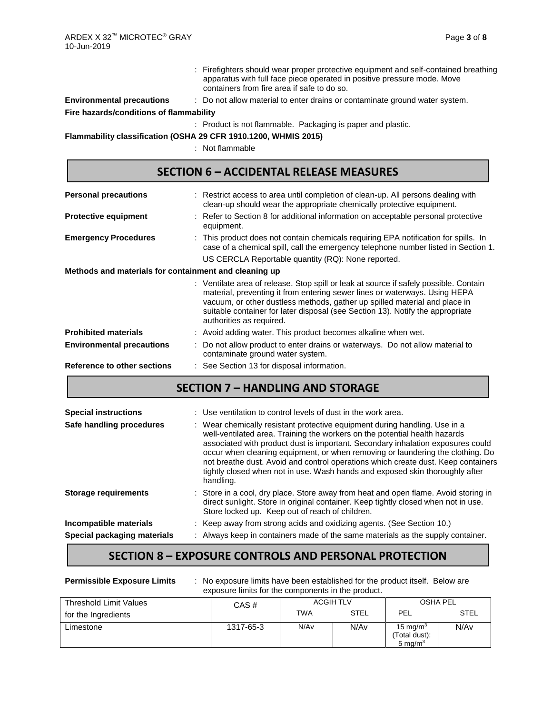- : Firefighters should wear proper protective equipment and self-contained breathing apparatus with full face piece operated in positive pressure mode. Move containers from fire area if safe to do so.
- **Environmental precautions** : Do not allow material to enter drains or contaminate ground water system. **Fire hazards/conditions of flammability**

: Product is not flammable. Packaging is paper and plastic.

**Flammability classification (OSHA 29 CFR 1910.1200, WHMIS 2015)**

: Not flammable

| <b>SECTION 6 - ACCIDENTAL RELEASE MEASURES</b>        |                                                                                                                                                                                                                                                                                                                                                                 |  |  |  |  |
|-------------------------------------------------------|-----------------------------------------------------------------------------------------------------------------------------------------------------------------------------------------------------------------------------------------------------------------------------------------------------------------------------------------------------------------|--|--|--|--|
| <b>Personal precautions</b>                           | : Restrict access to area until completion of clean-up. All persons dealing with<br>clean-up should wear the appropriate chemically protective equipment.                                                                                                                                                                                                       |  |  |  |  |
| <b>Protective equipment</b>                           | : Refer to Section 8 for additional information on acceptable personal protective<br>equipment.                                                                                                                                                                                                                                                                 |  |  |  |  |
| <b>Emergency Procedures</b>                           | : This product does not contain chemicals requiring EPA notification for spills. In<br>case of a chemical spill, call the emergency telephone number listed in Section 1.<br>US CERCLA Reportable quantity (RQ): None reported.                                                                                                                                 |  |  |  |  |
| Methods and materials for containment and cleaning up |                                                                                                                                                                                                                                                                                                                                                                 |  |  |  |  |
|                                                       | : Ventilate area of release. Stop spill or leak at source if safely possible. Contain<br>material, preventing it from entering sewer lines or waterways. Using HEPA<br>vacuum, or other dustless methods, gather up spilled material and place in<br>suitable container for later disposal (see Section 13). Notify the appropriate<br>authorities as required. |  |  |  |  |
| <b>Prohibited materials</b>                           | : Avoid adding water. This product becomes alkaline when wet.                                                                                                                                                                                                                                                                                                   |  |  |  |  |
| <b>Environmental precautions</b>                      | Do not allow product to enter drains or waterways. Do not allow material to<br>contaminate ground water system.                                                                                                                                                                                                                                                 |  |  |  |  |
| Reference to other sections                           | : See Section 13 for disposal information.                                                                                                                                                                                                                                                                                                                      |  |  |  |  |

## **SECTION 7 – HANDLING AND STORAGE**

| <b>Special instructions</b> | : Use ventilation to control levels of dust in the work area.                                                                                                                                                                                                                                                                                                                                                                                                                                                   |
|-----------------------------|-----------------------------------------------------------------------------------------------------------------------------------------------------------------------------------------------------------------------------------------------------------------------------------------------------------------------------------------------------------------------------------------------------------------------------------------------------------------------------------------------------------------|
| Safe handling procedures    | : Wear chemically resistant protective equipment during handling. Use in a<br>well-ventilated area. Training the workers on the potential health hazards<br>associated with product dust is important. Secondary inhalation exposures could<br>occur when cleaning equipment, or when removing or laundering the clothing. Do<br>not breathe dust. Avoid and control operations which create dust. Keep containers<br>tightly closed when not in use. Wash hands and exposed skin thoroughly after<br>handling. |
| <b>Storage requirements</b> | : Store in a cool, dry place. Store away from heat and open flame. Avoid storing in<br>direct sunlight. Store in original container. Keep tightly closed when not in use.<br>Store locked up. Keep out of reach of children.                                                                                                                                                                                                                                                                                    |
| Incompatible materials      | : Keep away from strong acids and oxidizing agents. (See Section 10.)                                                                                                                                                                                                                                                                                                                                                                                                                                           |
| Special packaging materials | : Always keep in containers made of the same materials as the supply container.                                                                                                                                                                                                                                                                                                                                                                                                                                 |

## **SECTION 8 – EXPOSURE CONTROLS AND PERSONAL PROTECTION**

| <b>Permissible Exposure Limits</b> | : No exposure limits have been established for the product itself. Below are<br>exposure limits for the components in the product. |                  |             |                                            |             |  |  |
|------------------------------------|------------------------------------------------------------------------------------------------------------------------------------|------------------|-------------|--------------------------------------------|-------------|--|--|
| Threshold Limit Values             | CAS#                                                                                                                               | <b>ACGIH TLV</b> |             | <b>OSHA PEL</b>                            |             |  |  |
| for the Ingredients                |                                                                                                                                    | <b>TWA</b>       | <b>STEL</b> | PEL                                        | <b>STEL</b> |  |  |
| Limestone                          | 1317-65-3                                                                                                                          | N/A <sub>v</sub> | N/Av        | 15 mg/m $3$<br>(Total dust);<br>5 mg/ $m3$ | N/Av        |  |  |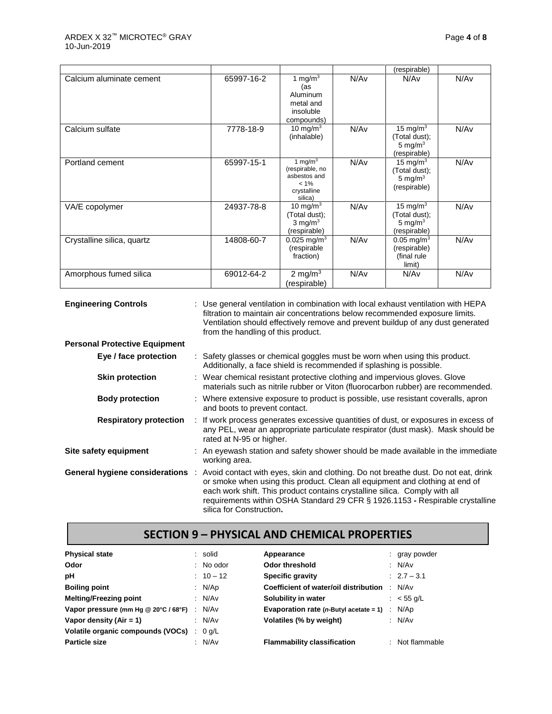|                            |            |                                                                                    |      | (respirable)                                                      |      |
|----------------------------|------------|------------------------------------------------------------------------------------|------|-------------------------------------------------------------------|------|
| Calcium aluminate cement   | 65997-16-2 | 1 mg/m $3$<br>(as<br>Aluminum<br>metal and<br>insoluble<br>compounds)              | N/Av | N/Av                                                              | N/Av |
| Calcium sulfate            | 7778-18-9  | 10 mg/m $3$<br>(inhalable)                                                         | N/Av | 15 mg/m $3$<br>(Total dust);<br>5 mg/m $3$<br>(respirable)        | N/Av |
| Portland cement            | 65997-15-1 | 1 mg/m $3$<br>(respirable, no<br>asbestos and<br>$< 1\%$<br>crystalline<br>silica) | N/Av | 15 mg/m $3$<br>(Total dust);<br>5 mg/ $m3$<br>(respirable)        | N/Av |
| VA/E copolymer             | 24937-78-8 | 10 mg/m $3$<br>(Total dust);<br>$3 \text{ mg/m}^3$<br>(respirable)                 | N/Av | 15 mg/m $3$<br>(Total dust);<br>5 mg/ $m3$<br>(respirable)        | N/Av |
| Crystalline silica, quartz | 14808-60-7 | $0.025$ mg/m <sup>3</sup><br>(respirable<br>fraction)                              | N/Av | $0.05$ mg/m <sup>3</sup><br>(respirable)<br>(final rule<br>limit) | N/Av |
| Amorphous fumed silica     | 69012-64-2 | 2 mg/m $3$<br>(respirable)                                                         | N/Av | N/Av                                                              | N/Av |

| <b>Engineering Controls</b>          | : Use general ventilation in combination with local exhaust ventilation with HEPA<br>filtration to maintain air concentrations below recommended exposure limits.<br>Ventilation should effectively remove and prevent buildup of any dust generated<br>from the handling of this product.                                                                    |
|--------------------------------------|---------------------------------------------------------------------------------------------------------------------------------------------------------------------------------------------------------------------------------------------------------------------------------------------------------------------------------------------------------------|
| <b>Personal Protective Equipment</b> |                                                                                                                                                                                                                                                                                                                                                               |
| Eye / face protection                | : Safety glasses or chemical goggles must be worn when using this product.<br>Additionally, a face shield is recommended if splashing is possible.                                                                                                                                                                                                            |
| <b>Skin protection</b>               | : Wear chemical resistant protective clothing and impervious gloves. Glove<br>materials such as nitrile rubber or Viton (fluorocarbon rubber) are recommended.                                                                                                                                                                                                |
| <b>Body protection</b>               | : Where extensive exposure to product is possible, use resistant coveralls, apron<br>and boots to prevent contact.                                                                                                                                                                                                                                            |
| <b>Respiratory protection</b>        | : If work process generates excessive quantities of dust, or exposures in excess of<br>any PEL, wear an appropriate particulate respirator (dust mask). Mask should be<br>rated at N-95 or higher.                                                                                                                                                            |
| Site safety equipment                | : An eyewash station and safety shower should be made available in the immediate<br>working area.                                                                                                                                                                                                                                                             |
| General hygiene considerations :     | Avoid contact with eyes, skin and clothing. Do not breathe dust. Do not eat, drink<br>or smoke when using this product. Clean all equipment and clothing at end of<br>each work shift. This product contains crystalline silica. Comply with all<br>requirements within OSHA Standard 29 CFR § 1926.1153 - Respirable crystalline<br>silica for Construction. |

## **SECTION 9 – PHYSICAL AND CHEMICAL PROPERTIES**

| <b>Physical state</b>                       | : solid     | Appearance                                                      | : gray powder   |
|---------------------------------------------|-------------|-----------------------------------------------------------------|-----------------|
| Odor                                        | $:$ No odor | Odor threshold                                                  | : $N/Av$        |
| рH                                          | $: 10 - 12$ | <b>Specific gravity</b>                                         | $: 2.7 - 3.1$   |
| <b>Boiling point</b>                        | : N/Ap      | Coefficient of water/oil distribution                           | : N/Av          |
| <b>Melting/Freezing point</b>               | : N/Av      | Solubility in water                                             | : $<$ 55 g/L    |
| Vapor pressure (mm Hg @ 20°C / 68°F) : N/Av |             | <b>Evaporation rate (n-Butyl acetate = 1)</b> $\therefore$ N/Ap |                 |
| Vapor density (Air = $1$ )                  | : N/Av      | Volatiles (% by weight)                                         | : N/Av          |
| Volatile organic compounds (VOCs) : 0 g/L   |             |                                                                 |                 |
| <b>Particle size</b>                        | : N/Av      | <b>Flammability classification</b>                              | : Not flammable |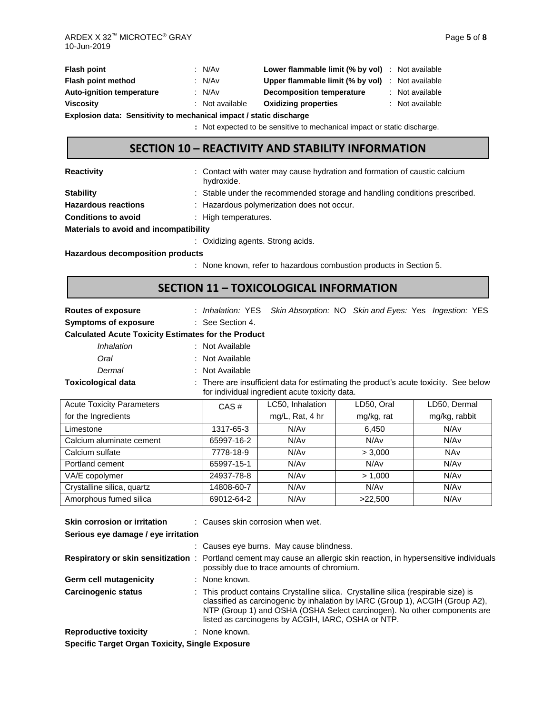| Flash point                                                         |  | : N/Av          | <b>Lower flammable limit (% by vol)</b> : Not available |  |                 |
|---------------------------------------------------------------------|--|-----------------|---------------------------------------------------------|--|-----------------|
| Flash point method                                                  |  | : $N/Av$        | <b>Upper flammable limit (% by vol)</b> : Not available |  |                 |
| <b>Auto-ignition temperature</b>                                    |  | : N/Av          | Decomposition temperature                               |  | : Not available |
| Viscosity                                                           |  | : Not available | <b>Oxidizing properties</b>                             |  | : Not available |
| Explosion data: Sensitivity to mechanical impact / static discharge |  |                 |                                                         |  |                 |

**:** Not expected to be sensitive to mechanical impact or static discharge.

### **SECTION 10 – REACTIVITY AND STABILITY INFORMATION**

**Reactivity Example 20 CONTER 12 CONTACT** water may cause hydration and formation of caustic calcium

|                            | hydroxide.                                                                 |
|----------------------------|----------------------------------------------------------------------------|
| <b>Stability</b>           | : Stable under the recommended storage and handling conditions prescribed. |
| <b>Hazardous reactions</b> | : Hazardous polymerization does not occur.                                 |
| <b>Conditions to avoid</b> | : High temperatures.                                                       |
| .                          |                                                                            |

**Materials to avoid and incompatibility**

: Oxidizing agents. Strong acids.

**Hazardous decomposition products**

: None known, refer to hazardous combustion products in Section 5.

### **SECTION 11 – TOXICOLOGICAL INFORMATION**

**Routes of exposure** : *Inhalation:* YES *Skin Absorption:* NO *Skin and Eyes:* Yes *Ingestion:* YES

**Symptoms of exposure** : See Section 4.

#### **Calculated Acute Toxicity Estimates for the Product**

- *Inhalation* : Not Available
- *Oral* : Not Available
- *Dermal* : Not Available

**Toxicological data** : There are insufficient data for estimating the product's acute toxicity. See below for individual ingredient acute toxicity data.

| <b>Acute Toxicity Parameters</b> | CAS#       | LC50, Inhalation | LD50, Oral | LD50, Dermal  |
|----------------------------------|------------|------------------|------------|---------------|
| for the Ingredients              |            | mg/L, Rat, 4 hr  | mg/kg, rat | mg/kg, rabbit |
| Limestone                        | 1317-65-3  | N/Av             | 6.450      | N/Av          |
| Calcium aluminate cement         | 65997-16-2 | N/Av             | N/Av       | N/Av          |
| Calcium sulfate                  | 7778-18-9  | N/Av             | > 3.000    | <b>NAv</b>    |
| Portland cement                  | 65997-15-1 | N/Av             | N/Av       | N/Av          |
| VA/E copolymer                   | 24937-78-8 | N/Av             | > 1.000    | N/Av          |
| Crystalline silica, quartz       | 14808-60-7 | N/Av             | N/Av       | N/Av          |
| Amorphous fumed silica           | 69012-64-2 | N/Av             | >22,500    | N/Av          |

| <b>Skin corrosion or irritation</b>                    |  | : Causes skin corrosion when wet.                                                                                                                                                                                                                                                                      |  |  |  |
|--------------------------------------------------------|--|--------------------------------------------------------------------------------------------------------------------------------------------------------------------------------------------------------------------------------------------------------------------------------------------------------|--|--|--|
| Serious eye damage / eye irritation                    |  |                                                                                                                                                                                                                                                                                                        |  |  |  |
|                                                        |  | : Causes eye burns. May cause blindness.                                                                                                                                                                                                                                                               |  |  |  |
|                                                        |  | <b>Respiratory or skin sensitization</b> : Portland cement may cause an allergic skin reaction, in hypersensitive individuals<br>possibly due to trace amounts of chromium.                                                                                                                            |  |  |  |
| <b>Germ cell mutagenicity</b>                          |  | : None known.                                                                                                                                                                                                                                                                                          |  |  |  |
| <b>Carcinogenic status</b>                             |  | : This product contains Crystalline silica. Crystalline silica (respirable size) is<br>classified as carcinogenic by inhalation by IARC (Group 1), ACGIH (Group A2),<br>NTP (Group 1) and OSHA (OSHA Select carcinogen). No other components are<br>listed as carcinogens by ACGIH, IARC, OSHA or NTP. |  |  |  |
| <b>Reproductive toxicity</b>                           |  | : None known.                                                                                                                                                                                                                                                                                          |  |  |  |
| <b>Specific Target Organ Toxicity, Single Exposure</b> |  |                                                                                                                                                                                                                                                                                                        |  |  |  |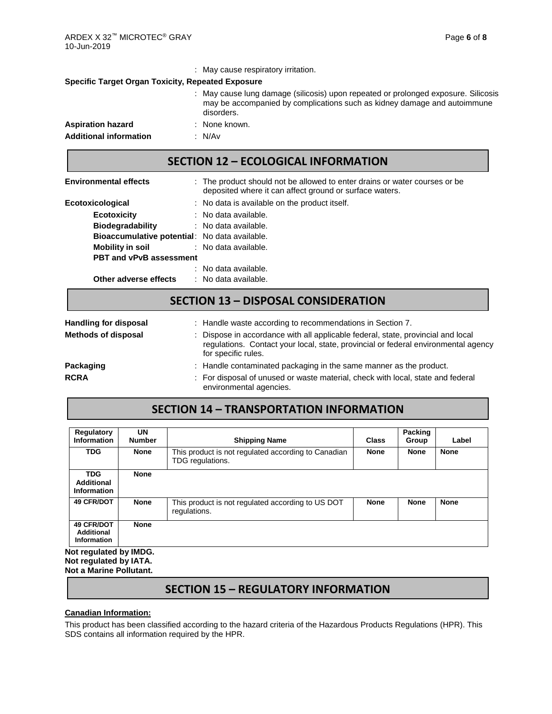|                                                          | : May cause respiratory irritation.                                                                                                                                          |  |  |  |  |  |  |
|----------------------------------------------------------|------------------------------------------------------------------------------------------------------------------------------------------------------------------------------|--|--|--|--|--|--|
| <b>Specific Target Organ Toxicity, Repeated Exposure</b> |                                                                                                                                                                              |  |  |  |  |  |  |
|                                                          | : May cause lung damage (silicosis) upon repeated or prolonged exposure. Silicosis<br>may be accompanied by complications such as kidney damage and autoimmune<br>disorders. |  |  |  |  |  |  |
| <b>Aspiration hazard</b>                                 | : None known.                                                                                                                                                                |  |  |  |  |  |  |
| <b>Additional information</b>                            | : N/Av                                                                                                                                                                       |  |  |  |  |  |  |

### **SECTION 12 – ECOLOGICAL INFORMATION**

| <b>Environmental effects</b>                         | : The product should not be allowed to enter drains or water courses or be<br>deposited where it can affect ground or surface waters. |
|------------------------------------------------------|---------------------------------------------------------------------------------------------------------------------------------------|
| Ecotoxicological                                     | : No data is available on the product itself.                                                                                         |
| <b>Ecotoxicity</b>                                   | : No data available.                                                                                                                  |
| <b>Biodegradability</b>                              | : No data available.                                                                                                                  |
| <b>Bioaccumulative potential:</b> No data available. |                                                                                                                                       |
| Mobility in soil                                     | : No data available.                                                                                                                  |
| <b>PBT and vPvB assessment</b>                       |                                                                                                                                       |
|                                                      | : No data available.                                                                                                                  |
| Other adverse effects                                | : No data available.                                                                                                                  |

## **SECTION 13 – DISPOSAL CONSIDERATION**

| <b>Handling for disposal</b> | : Handle waste according to recommendations in Section 7.                                                                                                                                     |
|------------------------------|-----------------------------------------------------------------------------------------------------------------------------------------------------------------------------------------------|
| <b>Methods of disposal</b>   | : Dispose in accordance with all applicable federal, state, provincial and local<br>regulations. Contact your local, state, provincial or federal environmental agency<br>for specific rules. |
| <b>Packaging</b>             | : Handle contaminated packaging in the same manner as the product.                                                                                                                            |
| <b>RCRA</b>                  | : For disposal of unused or waste material, check with local, state and federal<br>environmental agencies.                                                                                    |

# **SECTION 14 – TRANSPORTATION INFORMATION**

| Regulatory<br><b>Information</b>                             | UN<br><b>Number</b> | <b>Shipping Name</b>                                                    | Class       | Packing<br>Group | Label       |
|--------------------------------------------------------------|---------------------|-------------------------------------------------------------------------|-------------|------------------|-------------|
| <b>TDG</b>                                                   | <b>None</b>         | This product is not regulated according to Canadian<br>TDG regulations. | <b>None</b> | <b>None</b>      | <b>None</b> |
| <b>TDG</b><br><b>Additional</b><br>Information               | <b>None</b>         |                                                                         |             |                  |             |
| <b>49 CFR/DOT</b>                                            | <b>None</b>         | This product is not regulated according to US DOT<br>regulations.       | <b>None</b> | <b>None</b>      | <b>None</b> |
| <b>49 CFR/DOT</b><br><b>Additional</b><br><b>Information</b> | <b>None</b>         |                                                                         |             |                  |             |
| <b>Not requiated by IMDG.</b>                                |                     |                                                                         |             |                  |             |

**Not regulated by IMDG. Not regulated by IATA. Not a Marine Pollutant.**

## **SECTION 15 – REGULATORY INFORMATION**

#### **Canadian Information:**

This product has been classified according to the hazard criteria of the Hazardous Products Regulations (HPR). This SDS contains all information required by the HPR.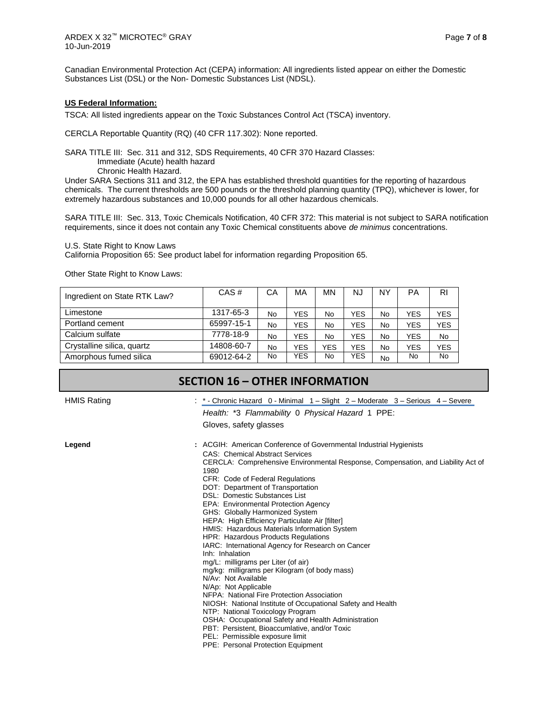Canadian Environmental Protection Act (CEPA) information: All ingredients listed appear on either the Domestic Substances List (DSL) or the Non- Domestic Substances List (NDSL).

#### **US Federal Information:**

TSCA: All listed ingredients appear on the Toxic Substances Control Act (TSCA) inventory.

CERCLA Reportable Quantity (RQ) (40 CFR 117.302): None reported.

SARA TITLE III: Sec. 311 and 312, SDS Requirements, 40 CFR 370 Hazard Classes:

Immediate (Acute) health hazard

Chronic Health Hazard.

Under SARA Sections 311 and 312, the EPA has established threshold quantities for the reporting of hazardous chemicals. The current thresholds are 500 pounds or the threshold planning quantity (TPQ), whichever is lower, for extremely hazardous substances and 10,000 pounds for all other hazardous chemicals.

SARA TITLE III: Sec. 313, Toxic Chemicals Notification, 40 CFR 372: This material is not subject to SARA notification requirements, since it does not contain any Toxic Chemical constituents above *de minimus* concentrations.

U.S. State Right to Know Laws

California Proposition 65: See product label for information regarding Proposition 65.

Other State Right to Know Laws:

| Ingredient on State RTK Law? | CAS#       | СA        | MA         | MΝ  | NJ         | NΥ | PA         | <b>RI</b>  |
|------------------------------|------------|-----------|------------|-----|------------|----|------------|------------|
| Limestone                    | 1317-65-3  | No        | <b>YES</b> | No  | YES        | No | <b>YES</b> | YES        |
| Portland cement              | 65997-15-1 | <b>No</b> | <b>YES</b> | No  | YES        | No | <b>YES</b> | <b>YES</b> |
| Calcium sulfate              | 7778-18-9  | No        | <b>YES</b> | No  | YES        | No | <b>YES</b> | <b>No</b>  |
| Crystalline silica, quartz   | 14808-60-7 | <b>No</b> | <b>YES</b> | YES | YES        | No | <b>YES</b> | <b>YES</b> |
| Amorphous fumed silica       | 69012-64-2 | No        | <b>YES</b> | No  | <b>YES</b> | No | No.        | <b>No</b>  |

## **SECTION 16 – OTHER INFORMATION**

HMIS Rating The Serious 4 – Severe : \* - Chronic Hazard 0 - Minimal 1 – Slight 2 – Moderate 3 – Serious 4 – Severe *Health:* \*3 *Flammability* 0 *Physical Hazard* 1 PPE:

Gloves, safety glasses

**Legend :** ACGIH: American Conference of Governmental Industrial Hygienists CAS: Chemical Abstract Services CERCLA: Comprehensive Environmental Response, Compensation, and Liability Act of 1980 CFR: Code of Federal Regulations DOT: Department of Transportation DSL: Domestic Substances List EPA: Environmental Protection Agency GHS: Globally Harmonized System HEPA: High Efficiency Particulate Air [filter] HMIS: Hazardous Materials Information System HPR: Hazardous Products Regulations IARC: International Agency for Research on Cancer Inh: Inhalation mg/L: milligrams per Liter (of air) mg/kg: milligrams per Kilogram (of body mass) N/Av: Not Available N/Ap: Not Applicable NFPA: National Fire Protection Association NIOSH: National Institute of Occupational Safety and Health NTP: National Toxicology Program OSHA: Occupational Safety and Health Administration PBT: Persistent, Bioaccumlative, and/or Toxic PEL: Permissible exposure limit PPE: Personal Protection Equipment